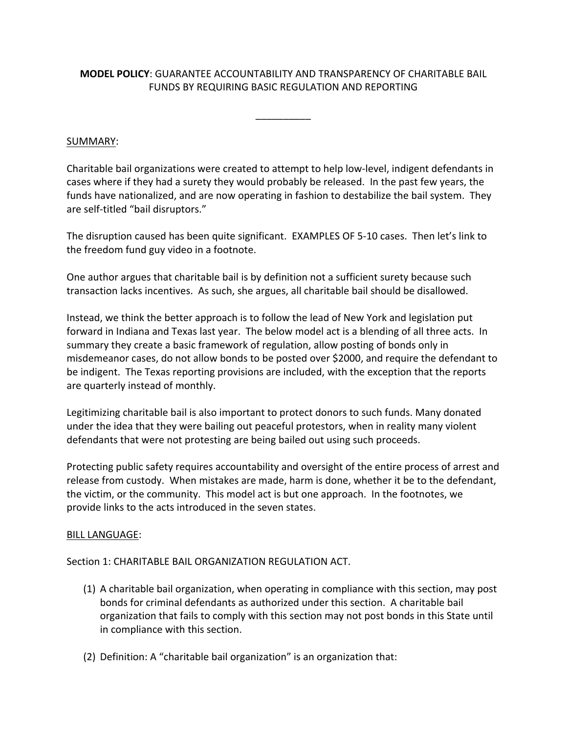## **MODEL POLICY**: GUARANTEE ACCOUNTABILITY AND TRANSPARENCY OF CHARITABLE BAIL FUNDS BY REQUIRING BASIC REGULATION AND REPORTING

 $\overline{\phantom{a}}$ 

## SUMMARY:

Charitable bail organizations were created to attempt to help low-level, indigent defendants in cases where if they had a surety they would probably be released. In the past few years, the funds have nationalized, and are now operating in fashion to destabilize the bail system. They are self-titled "bail disruptors."

The disruption caused has been quite significant. EXAMPLES OF 5-10 cases. Then let's link to the freedom fund guy video in a footnote.

One author argues that charitable bail is by definition not a sufficient surety because such transaction lacks incentives. As such, she argues, all charitable bail should be disallowed.

Instead, we think the better approach is to follow the lead of New York and legislation put forward in Indiana and Texas last year. The below model act is a blending of all three acts. In summary they create a basic framework of regulation, allow posting of bonds only in misdemeanor cases, do not allow bonds to be posted over \$2000, and require the defendant to be indigent. The Texas reporting provisions are included, with the exception that the reports are quarterly instead of monthly.

Legitimizing charitable bail is also important to protect donors to such funds. Many donated under the idea that they were bailing out peaceful protestors, when in reality many violent defendants that were not protesting are being bailed out using such proceeds.

Protecting public safety requires accountability and oversight of the entire process of arrest and release from custody. When mistakes are made, harm is done, whether it be to the defendant, the victim, or the community. This model act is but one approach. In the footnotes, we provide links to the acts introduced in the seven states.

## BILL LANGUAGE:

Section 1: CHARITABLE BAIL ORGANIZATION REGULATION ACT.

- (1) A charitable bail organization, when operating in compliance with this section, may post bonds for criminal defendants as authorized under this section. A charitable bail organization that fails to comply with this section may not post bonds in this State until in compliance with this section.
- (2) Definition: A "charitable bail organization" is an organization that: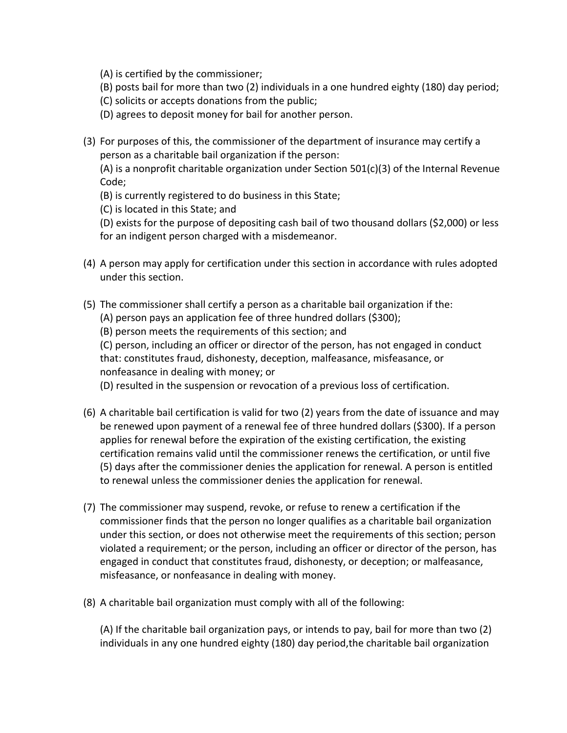(A) is certified by the commissioner;

- (B) posts bail for more than two (2) individuals in a one hundred eighty (180) day period;
- (C) solicits or accepts donations from the public;
- (D) agrees to deposit money for bail for another person.
- (3) For purposes of this, the commissioner of the department of insurance may certify a person as a charitable bail organization if the person:

(A) is a nonprofit charitable organization under Section  $501(c)(3)$  of the Internal Revenue Code;

(B) is currently registered to do business in this State;

(C) is located in this State; and

(D) exists for the purpose of depositing cash bail of two thousand dollars (\$2,000) or less for an indigent person charged with a misdemeanor.

- (4) A person may apply for certification under this section in accordance with rules adopted under this section.
- (5) The commissioner shall certify a person as a charitable bail organization if the: (A) person pays an application fee of three hundred dollars (\$300);

(B) person meets the requirements of this section; and

(C) person, including an officer or director of the person, has not engaged in conduct that: constitutes fraud, dishonesty, deception, malfeasance, misfeasance, or nonfeasance in dealing with money; or

(D) resulted in the suspension or revocation of a previous loss of certification.

- (6) A charitable bail certification is valid for two (2) years from the date of issuance and may be renewed upon payment of a renewal fee of three hundred dollars (\$300). If a person applies for renewal before the expiration of the existing certification, the existing certification remains valid until the commissioner renews the certification, or until five (5) days after the commissioner denies the application for renewal. A person is entitled to renewal unless the commissioner denies the application for renewal.
- (7) The commissioner may suspend, revoke, or refuse to renew a certification if the commissioner finds that the person no longer qualifies as a charitable bail organization under this section, or does not otherwise meet the requirements of this section; person violated a requirement; or the person, including an officer or director of the person, has engaged in conduct that constitutes fraud, dishonesty, or deception; or malfeasance, misfeasance, or nonfeasance in dealing with money.
- (8) A charitable bail organization must comply with all of the following:

(A) If the charitable bail organization pays, or intends to pay, bail for more than two (2) individuals in any one hundred eighty (180) day period,the charitable bail organization